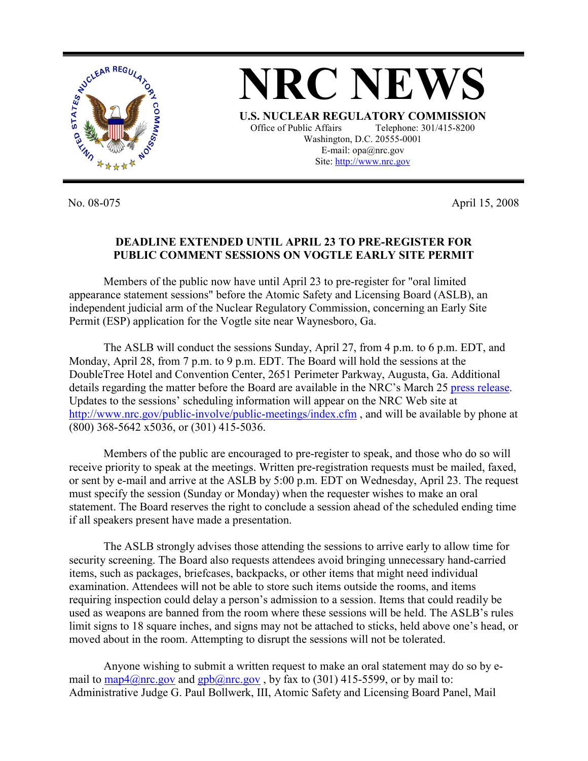

No. 08-075 April 15, 2008

## **DEADLINE EXTENDED UNTIL APRIL 23 TO PRE-REGISTER FOR PUBLIC COMMENT SESSIONS ON VOGTLE EARLY SITE PERMIT**

 Members of the public now have until April 23 to pre-register for "oral limited appearance statement sessions" before the Atomic Safety and Licensing Board (ASLB), an independent judicial arm of the Nuclear Regulatory Commission, concerning an Early Site Permit (ESP) application for the Vogtle site near Waynesboro, Ga.

The ASLB will conduct the sessions Sunday, April 27, from 4 p.m. to 6 p.m. EDT, and Monday, April 28, from 7 p.m. to 9 p.m. EDT. The Board will hold the sessions at the DoubleTree Hotel and Convention Center, 2651 Perimeter Parkway, Augusta, Ga. Additional details regarding the matter before the Board are available in the NRC's March 25 press release. Updates to the sessions' scheduling information will appear on the NRC Web site at http://www.nrc.gov/public-involve/public-meetings/index.cfm, and will be available by phone at (800) 368-5642 x5036, or (301) 415-5036.

Members of the public are encouraged to pre-register to speak, and those who do so will receive priority to speak at the meetings. Written pre-registration requests must be mailed, faxed, or sent by e-mail and arrive at the ASLB by 5:00 p.m. EDT on Wednesday, April 23. The request must specify the session (Sunday or Monday) when the requester wishes to make an oral statement. The Board reserves the right to conclude a session ahead of the scheduled ending time if all speakers present have made a presentation.

The ASLB strongly advises those attending the sessions to arrive early to allow time for security screening. The Board also requests attendees avoid bringing unnecessary hand-carried items, such as packages, briefcases, backpacks, or other items that might need individual examination. Attendees will not be able to store such items outside the rooms, and items requiring inspection could delay a person's admission to a session. Items that could readily be used as weapons are banned from the room where these sessions will be held. The ASLB's rules limit signs to 18 square inches, and signs may not be attached to sticks, held above one's head, or moved about in the room. Attempting to disrupt the sessions will not be tolerated.

Anyone wishing to submit a written request to make an oral statement may do so by email to map4@nrc.gov and gpb@nrc.gov, by fax to (301) 415-5599, or by mail to: Administrative Judge G. Paul Bollwerk, III, Atomic Safety and Licensing Board Panel, Mail